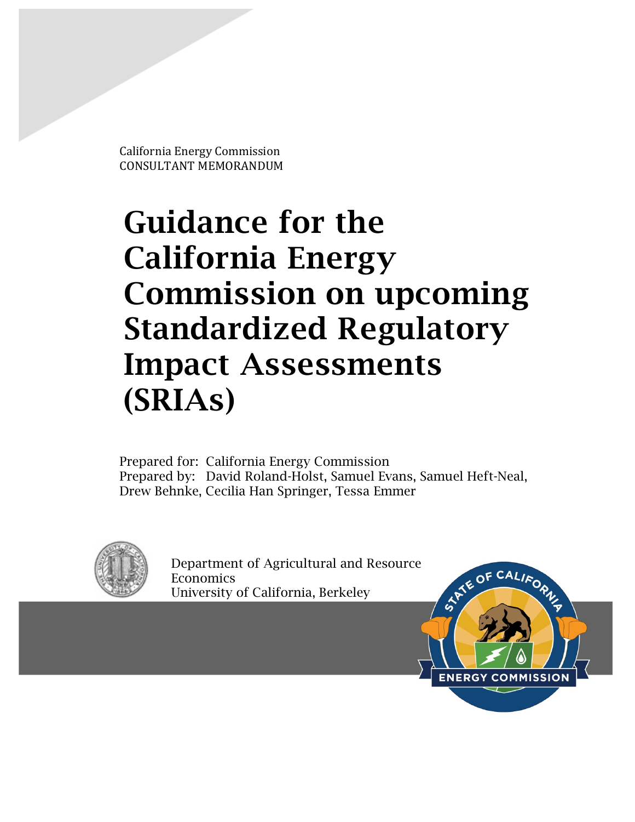California Energy Commission CONSULTANT MEMORANDUM

# Guidance for the California Energy Commission on upcoming Standardized Regulatory Impact Assessments (SRIAs)

Prepared for: California Energy Commission Prepared by: David Roland-Holst, Samuel Evans, Samuel Heft-Neal, Drew Behnke, Cecilia Han Springer, Tessa Emmer



Department of Agricultural and Resource **Economics** University of California, Berkeley

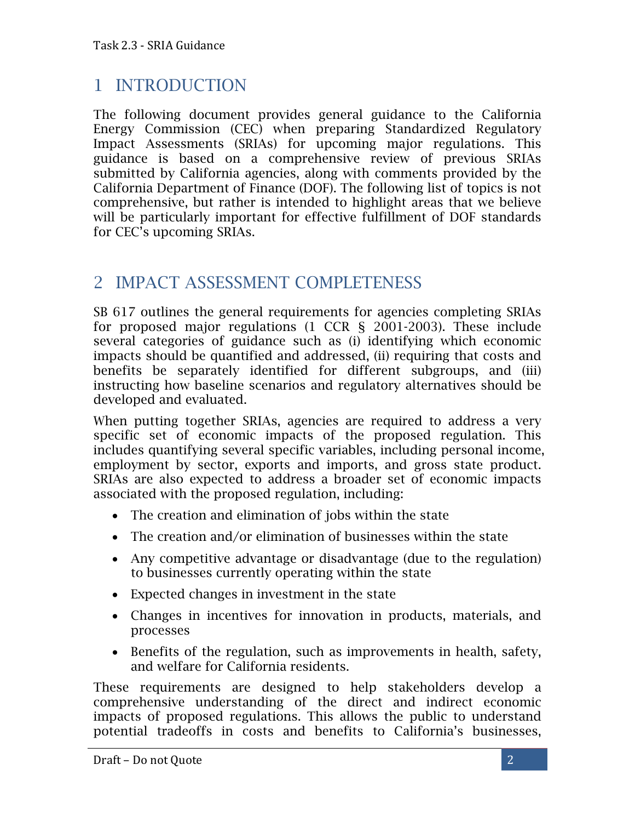#### 1 INTRODUCTION

The following document provides general guidance to the California Energy Commission (CEC) when preparing Standardized Regulatory Impact Assessments (SRIAs) for upcoming major regulations. This guidance is based on a comprehensive review of previous SRIAs submitted by California agencies, along with comments provided by the California Department of Finance (DOF). The following list of topics is not comprehensive, but rather is intended to highlight areas that we believe will be particularly important for effective fulfillment of DOF standards for CEC's upcoming SRIAs.

#### 2 IMPACT ASSESSMENT COMPLETENESS

SB 617 outlines the general requirements for agencies completing SRIAs for proposed major regulations (1 CCR § 2001-2003). These include several categories of guidance such as (i) identifying which economic impacts should be quantified and addressed, (ii) requiring that costs and benefits be separately identified for different subgroups, and (iii) instructing how baseline scenarios and regulatory alternatives should be developed and evaluated.

When putting together SRIAs, agencies are required to address a very specific set of economic impacts of the proposed regulation. This includes quantifying several specific variables, including personal income, employment by sector, exports and imports, and gross state product. SRIAs are also expected to address a broader set of economic impacts associated with the proposed regulation, including:

- The creation and elimination of jobs within the state
- The creation and/or elimination of businesses within the state
- Any competitive advantage or disadvantage (due to the regulation) to businesses currently operating within the state
- Expected changes in investment in the state
- Changes in incentives for innovation in products, materials, and processes
- Benefits of the regulation, such as improvements in health, safety, and welfare for California residents.

These requirements are designed to help stakeholders develop a comprehensive understanding of the direct and indirect economic impacts of proposed regulations. This allows the public to understand potential tradeoffs in costs and benefits to California's businesses,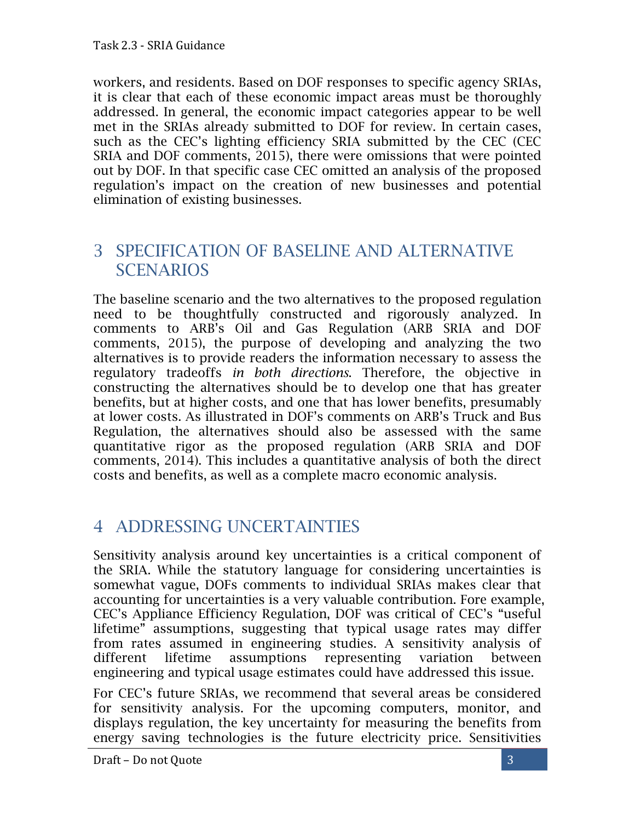workers, and residents. Based on DOF responses to specific agency SRIAs, it is clear that each of these economic impact areas must be thoroughly addressed. In general, the economic impact categories appear to be well met in the SRIAs already submitted to DOF for review. In certain cases, such as the CEC's lighting efficiency SRIA submitted by the CEC (CEC SRIA and DOF comments, 2015), there were omissions that were pointed out by DOF. In that specific case CEC omitted an analysis of the proposed regulation's impact on the creation of new businesses and potential elimination of existing businesses.

#### 3 SPECIFICATION OF BASELINE AND ALTERNATIVE **SCENARIOS**

The baseline scenario and the two alternatives to the proposed regulation need to be thoughtfully constructed and rigorously analyzed. In comments to ARB's Oil and Gas Regulation (ARB SRIA and DOF comments, 2015), the purpose of developing and analyzing the two alternatives is to provide readers the information necessary to assess the regulatory tradeoffs *in both directions*. Therefore, the objective in constructing the alternatives should be to develop one that has greater benefits, but at higher costs, and one that has lower benefits, presumably at lower costs. As illustrated in DOF's comments on ARB's Truck and Bus Regulation, the alternatives should also be assessed with the same quantitative rigor as the proposed regulation (ARB SRIA and DOF comments, 2014). This includes a quantitative analysis of both the direct costs and benefits, as well as a complete macro economic analysis.

# 4 ADDRESSING UNCERTAINTIES

Sensitivity analysis around key uncertainties is a critical component of the SRIA. While the statutory language for considering uncertainties is somewhat vague, DOFs comments to individual SRIAs makes clear that accounting for uncertainties is a very valuable contribution. Fore example, CEC's Appliance Efficiency Regulation, DOF was critical of CEC's "useful lifetime" assumptions, suggesting that typical usage rates may differ from rates assumed in engineering studies. A sensitivity analysis of different lifetime assumptions representing variation between engineering and typical usage estimates could have addressed this issue.

For CEC's future SRIAs, we recommend that several areas be considered for sensitivity analysis. For the upcoming computers, monitor, and displays regulation, the key uncertainty for measuring the benefits from energy saving technologies is the future electricity price. Sensitivities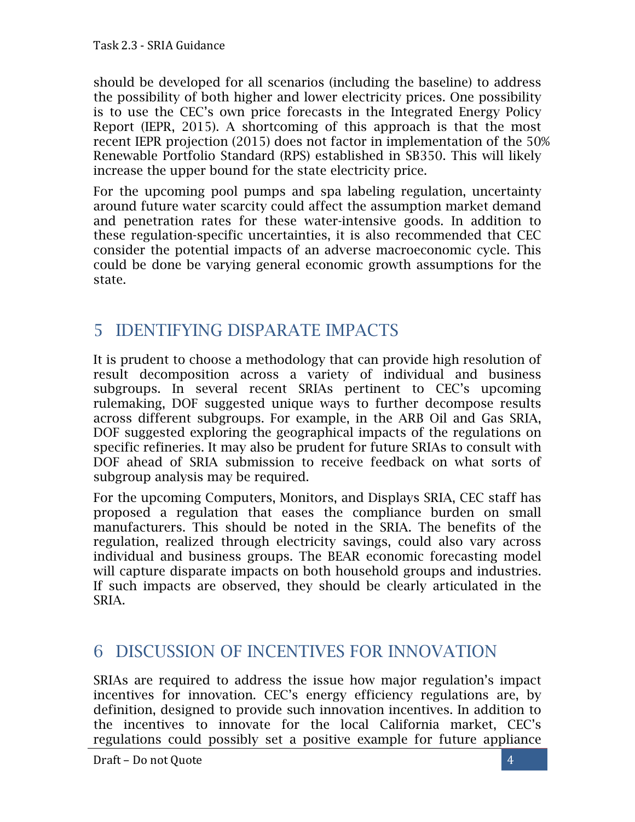should be developed for all scenarios (including the baseline) to address the possibility of both higher and lower electricity prices. One possibility is to use the CEC's own price forecasts in the Integrated Energy Policy Report (IEPR, 2015). A shortcoming of this approach is that the most recent IEPR projection (2015) does not factor in implementation of the 50% Renewable Portfolio Standard (RPS) established in SB350. This will likely increase the upper bound for the state electricity price.

For the upcoming pool pumps and spa labeling regulation, uncertainty around future water scarcity could affect the assumption market demand and penetration rates for these water-intensive goods. In addition to these regulation-specific uncertainties, it is also recommended that CEC consider the potential impacts of an adverse macroeconomic cycle. This could be done be varying general economic growth assumptions for the state.

# 5 IDENTIFYING DISPARATE IMPACTS

It is prudent to choose a methodology that can provide high resolution of result decomposition across a variety of individual and business subgroups. In several recent SRIAs pertinent to CEC's upcoming rulemaking, DOF suggested unique ways to further decompose results across different subgroups. For example, in the ARB Oil and Gas SRIA, DOF suggested exploring the geographical impacts of the regulations on specific refineries. It may also be prudent for future SRIAs to consult with DOF ahead of SRIA submission to receive feedback on what sorts of subgroup analysis may be required.

For the upcoming Computers, Monitors, and Displays SRIA, CEC staff has proposed a regulation that eases the compliance burden on small manufacturers. This should be noted in the SRIA. The benefits of the regulation, realized through electricity savings, could also vary across individual and business groups. The BEAR economic forecasting model will capture disparate impacts on both household groups and industries. If such impacts are observed, they should be clearly articulated in the SRIA.

## 6 DISCUSSION OF INCENTIVES FOR INNOVATION

SRIAs are required to address the issue how major regulation's impact incentives for innovation. CEC's energy efficiency regulations are, by definition, designed to provide such innovation incentives. In addition to the incentives to innovate for the local California market, CEC's regulations could possibly set a positive example for future appliance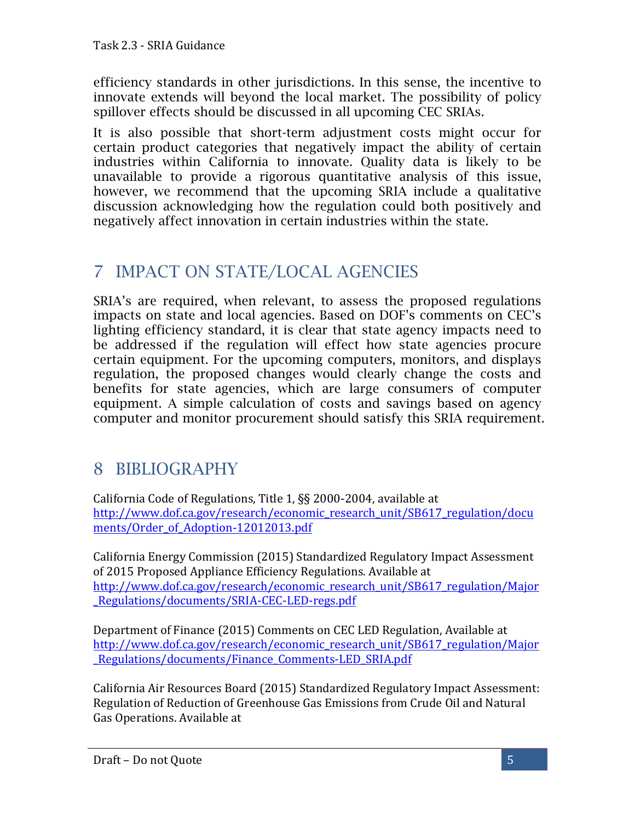efficiency standards in other jurisdictions. In this sense, the incentive to innovate extends will beyond the local market. The possibility of policy spillover effects should be discussed in all upcoming CEC SRIAs.

It is also possible that short-term adjustment costs might occur for certain product categories that negatively impact the ability of certain industries within California to innovate. Quality data is likely to be unavailable to provide a rigorous quantitative analysis of this issue, however, we recommend that the upcoming SRIA include a qualitative discussion acknowledging how the regulation could both positively and negatively affect innovation in certain industries within the state.

## 7 IMPACT ON STATE/LOCAL AGENCIES

SRIA's are required, when relevant, to assess the proposed regulations impacts on state and local agencies. Based on DOF's comments on CEC's lighting efficiency standard, it is clear that state agency impacts need to be addressed if the regulation will effect how state agencies procure certain equipment. For the upcoming computers, monitors, and displays regulation, the proposed changes would clearly change the costs and benefits for state agencies, which are large consumers of computer equipment. A simple calculation of costs and savings based on agency computer and monitor procurement should satisfy this SRIA requirement.

## 8 BIBLIOGRAPHY

California Code of Regulations, Title 1,  $\S$ § 2000-2004, available at http://www.dof.ca.gov/research/economic\_research\_unit/SB617\_regulation/docu ments/Order\_of\_Adoption-12012013.pdf

California Energy Commission (2015) Standardized Regulatory Impact Assessment of 2015 Proposed Appliance Efficiency Regulations. Available at http://www.dof.ca.gov/research/economic\_research\_unit/SB617\_regulation/Major \_Regulations/documents/SRIA-CEC-LED-regs.pdf

Department of Finance (2015) Comments on CEC LED Regulation, Available at http://www.dof.ca.gov/research/economic\_research\_unit/SB617\_regulation/Major \_Regulations/documents/Finance\_Comments-LED\_SRIA.pdf

California Air Resources Board (2015) Standardized Regulatory Impact Assessment: Regulation of Reduction of Greenhouse Gas Emissions from Crude Oil and Natural Gas Operations. Available at